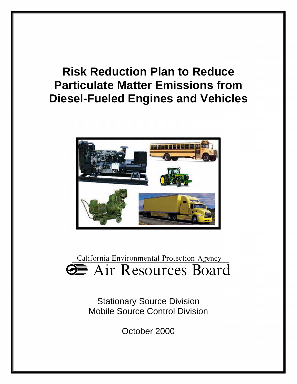# **Risk Reduction Plan to Reduce Particulate Matter Emissions from Diesel-Fueled Engines and Vehicles**



California Environmental Protection Agency **9** Air Resources Board

> Stationary Source Division Mobile Source Control Division

> > October 2000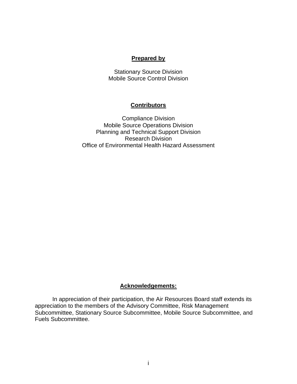#### **Prepared by**

Stationary Source Division Mobile Source Control Division

#### **Contributors**

Compliance Division Mobile Source Operations Division Planning and Technical Support Division Research Division Office of Environmental Health Hazard Assessment

## **Acknowledgements:**

In appreciation of their participation, the Air Resources Board staff extends its appreciation to the members of the Advisory Committee, Risk Management Subcommittee, Stationary Source Subcommittee, Mobile Source Subcommittee, and Fuels Subcommittee.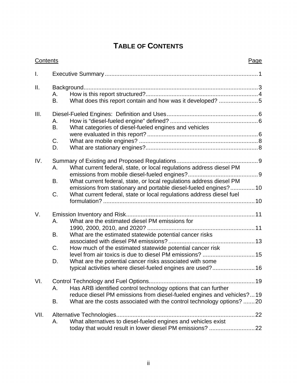## **TABLE OF CONTENTS**

| Contents |                             |                                                                                                                                                                                                                                                                                                                                                               | Page |
|----------|-----------------------------|---------------------------------------------------------------------------------------------------------------------------------------------------------------------------------------------------------------------------------------------------------------------------------------------------------------------------------------------------------------|------|
| Ι.       |                             |                                                                                                                                                                                                                                                                                                                                                               |      |
| II.      | Α.<br>B.                    | What does this report contain and how was it developed? 5                                                                                                                                                                                                                                                                                                     |      |
| III.     | Α.<br>B.<br>C.<br>D.        | What categories of diesel-fueled engines and vehicles                                                                                                                                                                                                                                                                                                         |      |
| IV.      | А.<br>B.<br>C.              | What current federal, state, or local regulations address diesel PM<br>What current federal, state, or local regulations address diesel PM<br>emissions from stationary and portable diesel-fueled engines? 10<br>What current federal, state or local regulations address diesel fuel                                                                        |      |
| V.       | А.<br><b>B.</b><br>C.<br>D. | What are the estimated diesel PM emissions for<br>What are the estimated statewide potential cancer risks<br>How much of the estimated statewide potential cancer risk<br>level from air toxics is due to diesel PM emissions?  15<br>What are the potential cancer risks associated with some<br>typical activities where diesel-fueled engines are used? 16 |      |
| VI.      | А.<br>В.                    | Has ARB identified control technology options that can further<br>reduce diesel PM emissions from diesel-fueled engines and vehicles?19<br>What are the costs associated with the control technology options? 20                                                                                                                                              |      |
| VII.     | А.                          | What alternatives to diesel-fueled engines and vehicles exist                                                                                                                                                                                                                                                                                                 |      |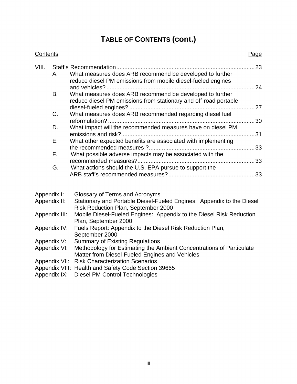## **TABLE OF CONTENTS (cont.)**

| Contents    |               |                                                                                                                              | Page |
|-------------|---------------|------------------------------------------------------------------------------------------------------------------------------|------|
| VIII.       |               |                                                                                                                              |      |
|             | А.            | What measures does ARB recommend be developed to further<br>reduce diesel PM emissions from mobile diesel-fueled engines     |      |
|             | <b>B.</b>     | What measures does ARB recommend be developed to further<br>reduce diesel PM emissions from stationary and off-road portable |      |
|             | C.            | What measures does ARB recommended regarding diesel fuel                                                                     |      |
|             | D.            | What impact will the recommended measures have on diesel PM                                                                  |      |
|             | Ε.            | What other expected benefits are associated with implementing                                                                |      |
|             |               |                                                                                                                              |      |
|             | F.            | What possible adverse impacts may be associated with the                                                                     |      |
|             | G.            | What actions should the U.S. EPA pursue to support the                                                                       |      |
| Appendix I: |               | Glossary of Terms and Acronyms                                                                                               |      |
|             | Appendix II:  | Stationary and Portable Diesel-Fueled Engines: Appendix to the Diesel<br>Risk Reduction Plan, September 2000                 |      |
|             | Appendix III: | Mobile Diesel-Fueled Engines: Appendix to the Diesel Risk Reduction<br>Plan, September 2000                                  |      |
|             | Appendix IV:  | Fuels Report: Appendix to the Diesel Risk Reduction Plan,<br>September 2000                                                  |      |
|             | Appendix V:   | <b>Summary of Existing Regulations</b>                                                                                       |      |
|             | Appendix VI:  | Methodology for Estimating the Ambient Concentrations of Particulate<br>Matter from Diesel-Fueled Engines and Vehicles       |      |
|             | Appendix VII: | <b>Risk Characterization Scenarios</b>                                                                                       |      |
|             |               | Appendix VIII: Health and Safety Code Section 39665                                                                          |      |

Appendix IX: Diesel PM Control Technologies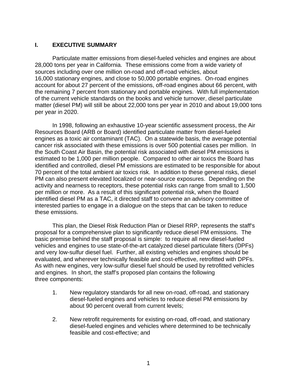## **I. EXECUTIVE SUMMARY**

Particulate matter emissions from diesel-fueled vehicles and engines are about 28,000 tons per year in California. These emissions come from a wide variety of sources including over one million on-road and off-road vehicles, about 16,000 stationary engines, and close to 50,000 portable engines. On-road engines account for about 27 percent of the emissions, off-road engines about 66 percent, with the remaining 7 percent from stationary and portable engines. With full implementation of the current vehicle standards on the books and vehicle turnover, diesel particulate matter (diesel PM) will still be about 22,000 tons per year in 2010 and about 19,000 tons per year in 2020.

In 1998, following an exhaustive 10-year scientific assessment process, the Air Resources Board (ARB or Board) identified particulate matter from diesel-fueled engines as a toxic air contaminant (TAC). On a statewide basis, the average potential cancer risk associated with these emissions is over 500 potential cases per million. In the South Coast Air Basin, the potential risk associated with diesel PM emissions is estimated to be 1,000 per million people. Compared to other air toxics the Board has identified and controlled, diesel PM emissions are estimated to be responsible for about 70 percent of the total ambient air toxics risk. In addition to these general risks, diesel PM can also present elevated localized or near-source exposures. Depending on the activity and nearness to receptors, these potential risks can range from small to 1,500 per million or more. As a result of this significant potential risk, when the Board identified diesel PM as a TAC, it directed staff to convene an advisory committee of interested parties to engage in a dialogue on the steps that can be taken to reduce these emissions.

This plan, the Diesel Risk Reduction Plan or Diesel RRP, represents the staff's proposal for a comprehensive plan to significantly reduce diesel PM emissions. The basic premise behind the staff proposal is simple: to require all new diesel-fueled vehicles and engines to use state-of-the-art catalyzed diesel particulate filters (DPFs) and very low-sulfur diesel fuel. Further, all existing vehicles and engines should be evaluated, and wherever technically feasible and cost-effective, retrofitted with DPFs. As with new engines, very low-sulfur diesel fuel should be used by retrofitted vehicles and engines. In short, the staff's proposed plan contains the following three components:

- 1. New regulatory standards for all new on-road, off-road, and stationary diesel-fueled engines and vehicles to reduce diesel PM emissions by about 90 percent overall from current levels;
- 2. New retrofit requirements for existing on-road, off-road, and stationary diesel-fueled engines and vehicles where determined to be technically feasible and cost-effective; and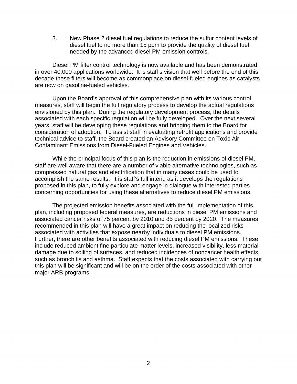3. New Phase 2 diesel fuel regulations to reduce the sulfur content levels of diesel fuel to no more than 15 ppm to provide the quality of diesel fuel needed by the advanced diesel PM emission controls.

Diesel PM filter control technology is now available and has been demonstrated in over 40,000 applications worldwide. It is staff's vision that well before the end of this decade these filters will become as commonplace on diesel-fueled engines as catalysts are now on gasoline-fueled vehicles.

Upon the Board's approval of this comprehensive plan with its various control measures, staff will begin the full regulatory process to develop the actual regulations envisioned by this plan. During the regulatory development process, the details associated with each specific regulation will be fully developed. Over the next several years, staff will be developing these regulations and bringing them to the Board for consideration of adoption. To assist staff in evaluating retrofit applications and provide technical advice to staff, the Board created an Advisory Committee on Toxic Air Contaminant Emissions from Diesel-Fueled Engines and Vehicles.

While the principal focus of this plan is the reduction in emissions of diesel PM, staff are well aware that there are a number of viable alternative technologies, such as compressed natural gas and electrification that in many cases could be used to accomplish the same results. It is staff's full intent, as it develops the regulations proposed in this plan, to fully explore and engage in dialogue with interested parties concerning opportunities for using these alternatives to reduce diesel PM emissions.

The projected emission benefits associated with the full implementation of this plan, including proposed federal measures, are reductions in diesel PM emissions and associated cancer risks of 75 percent by 2010 and 85 percent by 2020. The measures recommended in this plan will have a great impact on reducing the localized risks associated with activities that expose nearby individuals to diesel PM emissions. Further, there are other benefits associated with reducing diesel PM emissions. These include reduced ambient fine particulate matter levels, increased visibility, less material damage due to soiling of surfaces, and reduced incidences of noncancer health effects, such as bronchitis and asthma. Staff expects that the costs associated with carrying out this plan will be significant and will be on the order of the costs associated with other major ARB programs.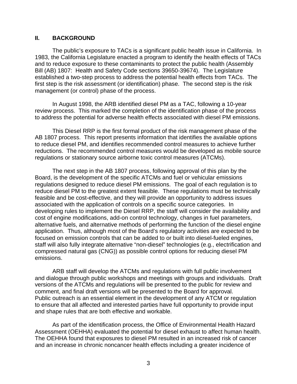## **II. BACKGROUND**

The public's exposure to TACs is a significant public health issue in California. In 1983, the California Legislature enacted a program to identify the health effects of TACs and to reduce exposure to these contaminants to protect the public health (Assembly Bill (AB) 1807: Health and Safety Code sections 39650-39674). The Legislature established a two-step process to address the potential health effects from TACs. The first step is the risk assessment (or identification) phase. The second step is the risk management (or control) phase of the process.

In August 1998, the ARB identified diesel PM as a TAC, following a 10-year review process. This marked the completion of the identification phase of the process to address the potential for adverse health effects associated with diesel PM emissions.

This Diesel RRP is the first formal product of the risk management phase of the AB 1807 process. This report presents information that identifies the available options to reduce diesel PM, and identifies recommended control measures to achieve further reductions. The recommended control measures would be developed as mobile source regulations or stationary source airborne toxic control measures (ATCMs).

The next step in the AB 1807 process, following approval of this plan by the Board, is the development of the specific ATCMs and fuel or vehicular emissions regulations designed to reduce diesel PM emissions. The goal of each regulation is to reduce diesel PM to the greatest extent feasible. These regulations must be technically feasible and be cost-effective, and they will provide an opportunity to address issues associated with the application of controls on a specific source categories. In developing rules to implement the Diesel RRP, the staff will consider the availability and cost of engine modifications, add-on control technology, changes in fuel parameters, alternative fuels, and alternative methods of performing the function of the diesel engine application. Thus, although most of the Board's regulatory activities are expected to be focused on emission controls that can be added to or built into diesel-fueled engines, staff will also fully integrate alternative "non-diesel" technologies (e.g., electrification and compressed natural gas (CNG)) as possible control options for reducing diesel PM emissions.

ARB staff will develop the ATCMs and regulations with full public involvement and dialogue through public workshops and meetings with groups and individuals. Draft versions of the ATCMs and regulations will be presented to the public for review and comment, and final draft versions will be presented to the Board for approval. Public outreach is an essential element in the development of any ATCM or regulation to ensure that all affected and interested parties have full opportunity to provide input and shape rules that are both effective and workable.

As part of the identification process, the Office of Environmental Health Hazard Assessment (OEHHA) evaluated the potential for diesel exhaust to affect human health. The OEHHA found that exposures to diesel PM resulted in an increased risk of cancer and an increase in chronic noncancer health effects including a greater incidence of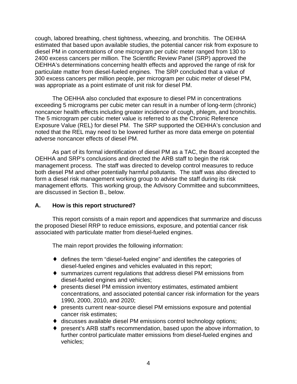cough, labored breathing, chest tightness, wheezing, and bronchitis. The OEHHA estimated that based upon available studies, the potential cancer risk from exposure to diesel PM in concentrations of one microgram per cubic meter ranged from 130 to 2400 excess cancers per million. The Scientific Review Panel (SRP) approved the OEHHA's determinations concerning health effects and approved the range of risk for particulate matter from diesel-fueled engines. The SRP concluded that a value of 300 excess cancers per million people, per microgram per cubic meter of diesel PM, was appropriate as a point estimate of unit risk for diesel PM.

The OEHHA also concluded that exposure to diesel PM in concentrations exceeding 5 micrograms per cubic meter can result in a number of long-term (chronic) noncancer health effects including greater incidence of cough, phlegm, and bronchitis. The 5 microgram per cubic meter value is referred to as the Chronic Reference Exposure Value (REL) for diesel PM. The SRP supported the OEHHA's conclusion and noted that the REL may need to be lowered further as more data emerge on potential adverse noncancer effects of diesel PM.

As part of its formal identification of diesel PM as a TAC, the Board accepted the OEHHA and SRP's conclusions and directed the ARB staff to begin the risk management process. The staff was directed to develop control measures to reduce both diesel PM and other potentially harmful pollutants. The staff was also directed to form a diesel risk management working group to advise the staff during its risk management efforts. This working group, the Advisory Committee and subcommittees, are discussed in Section B., below.

## **A. How is this report structured?**

This report consists of a main report and appendices that summarize and discuss the proposed Diesel RRP to reduce emissions, exposure, and potential cancer risk associated with particulate matter from diesel-fueled engines.

The main report provides the following information:

- $\bullet$  defines the term "diesel-fueled engine" and identifies the categories of diesel-fueled engines and vehicles evaluated in this report;
- ◆ summarizes current regulations that address diesel PM emissions from diesel-fueled engines and vehicles;
- ◆ presents diesel PM emission inventory estimates, estimated ambient concentrations, and associated potential cancer risk information for the years 1990, 2000, 2010, and 2020;
- ◆ presents current near-source diesel PM emissions exposure and potential cancer risk estimates;
- discusses available diesel PM emissions control technology options;
- ◆ present's ARB staff's recommendation, based upon the above information, to further control particulate matter emissions from diesel-fueled engines and vehicles;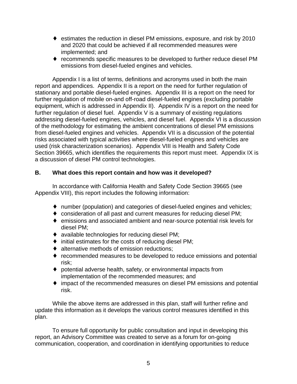- estimates the reduction in diesel PM emissions, exposure, and risk by 2010 and 2020 that could be achieved if all recommended measures were implemented; and
- ◆ recommends specific measures to be developed to further reduce diesel PM emissions from diesel-fueled engines and vehicles.

Appendix I is a list of terms, definitions and acronyms used in both the main report and appendices. Appendix II is a report on the need for further regulation of stationary and portable diesel-fueled engines. Appendix III is a report on the need for further regulation of mobile on-and off-road diesel-fueled engines (excluding portable equipment, which is addressed in Appendix II). Appendix IV is a report on the need for further regulation of diesel fuel. Appendix V is a summary of existing regulations addressing diesel-fueled engines, vehicles, and diesel fuel. Appendix VI is a discussion of the methodology for estimating the ambient concentrations of diesel PM emissions from diesel-fueled engines and vehicles. Appendix VII is a discussion of the potential risks associated with typical activities where diesel-fueled engines and vehicles are used (risk characterization scenarios). Appendix VIII is Health and Safety Code Section 39665, which identifies the requirements this report must meet. Appendix IX is a discussion of diesel PM control technologies.

## **B. What does this report contain and how was it developed?**

In accordance with California Health and Safety Code Section 39665 (see Appendix VIII), this report includes the following information:

- number (population) and categories of diesel-fueled engines and vehicles;
- ¨ consideration of all past and current measures for reducing diesel PM;
- emissions and associated ambient and near-source potential risk levels for diesel PM;
- $\bullet$  available technologies for reducing diesel PM;
- $\bullet$  initial estimates for the costs of reducing diesel PM;
- $\bullet$  alternative methods of emission reductions;
- recommended measures to be developed to reduce emissions and potential risk;
- $\bullet$  potential adverse health, safety, or environmental impacts from implementation of the recommended measures; and
- impact of the recommended measures on diesel PM emissions and potential risk.

While the above items are addressed in this plan, staff will further refine and update this information as it develops the various control measures identified in this plan.

To ensure full opportunity for public consultation and input in developing this report, an Advisory Committee was created to serve as a forum for on-going communication, cooperation, and coordination in identifying opportunities to reduce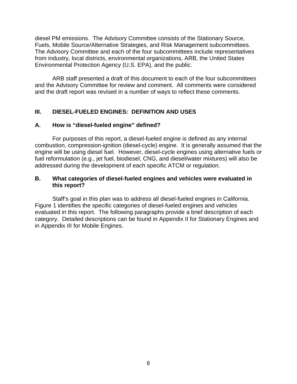diesel PM emissions. The Advisory Committee consists of the Stationary Source, Fuels, Mobile Source/Alternative Strategies, and Risk Management subcommittees. The Advisory Committee and each of the four subcommittees include representatives from industry, local districts, environmental organizations, ARB, the United States Environmental Protection Agency (U.S. EPA), and the public.

ARB staff presented a draft of this document to each of the four subcommittees and the Advisory Committee for review and comment. All comments were considered and the draft report was revised in a number of ways to reflect these comments.

## **III. DIESEL-FUELED ENGINES: DEFINITION AND USES**

## **A. How is "diesel-fueled engine" defined?**

For purposes of this report, a diesel-fueled engine is defined as any internal combustion, compression-ignition (diesel-cycle) engine. It is generally assumed that the engine will be using diesel fuel. However, diesel-cycle engines using alternative fuels or fuel reformulation (e.g., jet fuel, biodiesel, CNG, and diesel/water mixtures) will also be addressed during the development of each specific ATCM or regulation.

#### **B. What categories of diesel-fueled engines and vehicles were evaluated in this report?**

Staff's goal in this plan was to address all diesel-fueled engines in California. Figure 1 identifies the specific categories of diesel-fueled engines and vehicles evaluated in this report. The following paragraphs provide a brief description of each category. Detailed descriptions can be found in Appendix II for Stationary Engines and in Appendix III for Mobile Engines.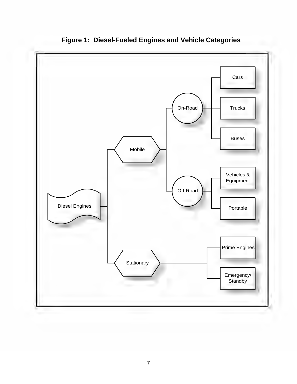

**Figure 1: Diesel-Fueled Engines and Vehicle Categories**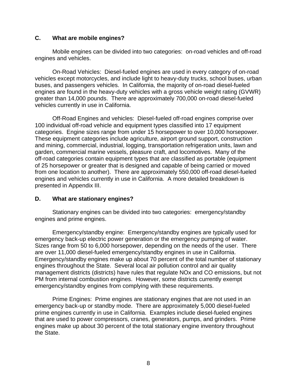## **C. What are mobile engines?**

Mobile engines can be divided into two categories: on-road vehicles and off-road engines and vehicles.

On-Road Vehicles: Diesel-fueled engines are used in every category of on-road vehicles except motorcycles, and include light to heavy-duty trucks, school buses, urban buses, and passengers vehicles. In California, the majority of on-road diesel-fueled engines are found in the heavy-duty vehicles with a gross vehicle weight rating (GVWR) greater than 14,000 pounds. There are approximately 700,000 on-road diesel-fueled vehicles currently in use in California.

Off-Road Engines and vehicles: Diesel-fueled off-road engines comprise over 100 individual off-road vehicle and equipment types classified into 17 equipment categories. Engine sizes range from under 15 horsepower to over 10,000 horsepower. These equipment categories include agriculture, airport ground support, construction and mining, commercial, industrial, logging, transportation refrigeration units, lawn and garden, commercial marine vessels, pleasure craft, and locomotives. Many of the off-road categories contain equipment types that are classified as portable (equipment of 25 horsepower or greater that is designed and capable of being carried or moved from one location to another). There are approximately 550,000 off-road diesel-fueled engines and vehicles currently in use in California. A more detailed breakdown is presented in Appendix III.

## **D. What are stationary engines?**

Stationary engines can be divided into two categories: emergency/standby engines and prime engines.

Emergency/standby engine: Emergency/standby engines are typically used for emergency back-up electric power generation or the emergency pumping of water. Sizes range from 50 to 6,000 horsepower, depending on the needs of the user. There are over 11,000 diesel-fueled emergency/standby engines in use in California. Emergency/standby engines make up about 70 percent of the total number of stationary engines throughout the State. Several local air pollution control and air quality management districts (districts) have rules that regulate NOx and CO emissions, but not PM from internal combustion engines. However, some districts currently exempt emergency/standby engines from complying with these requirements.

Prime Engines: Prime engines are stationary engines that are not used in an emergency back-up or standby mode. There are approximately 5,000 diesel-fueled prime engines currently in use in California. Examples include diesel-fueled engines that are used to power compressors, cranes, generators, pumps, and grinders. Prime engines make up about 30 percent of the total stationary engine inventory throughout the State.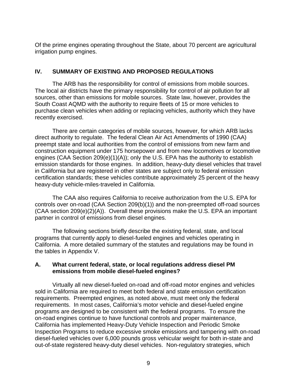Of the prime engines operating throughout the State, about 70 percent are agricultural irrigation pump engines.

## **IV. SUMMARY OF EXISTING AND PROPOSED REGULATIONS**

The ARB has the responsibility for control of emissions from mobile sources. The local air districts have the primary responsibility for control of air pollution for all sources, other than emissions for mobile sources. State law, however, provides the South Coast AQMD with the authority to require fleets of 15 or more vehicles to purchase clean vehicles when adding or replacing vehicles, authority which they have recently exercised.

There are certain categories of mobile sources, however, for which ARB lacks direct authority to regulate. The federal Clean Air Act Amendments of 1990 (CAA) preempt state and local authorities from the control of emissions from new farm and construction equipment under 175 horsepower and from new locomotives or locomotive engines (CAA Section 209(e)(1)(A)); only the U.S. EPA has the authority to establish emission standards for those engines. In addition, heavy-duty diesel vehicles that travel in California but are registered in other states are subject only to federal emission certification standards; these vehicles contribute approximately 25 percent of the heavy heavy-duty vehicle-miles-traveled in California.

The CAA also requires California to receive authorization from the U.S. EPA for controls over on-road (CAA Section 209(b)(1)) and the non-preempted off-road sources (CAA section 209(e)(2)(A)). Overall these provisions make the U.S. EPA an important partner in control of emissions from diesel engines.

The following sections briefly describe the existing federal, state, and local programs that currently apply to diesel-fueled engines and vehicles operating in California. A more detailed summary of the statutes and regulations may be found in the tables in Appendix V.

#### **A. What current federal, state, or local regulations address diesel PM emissions from mobile diesel-fueled engines?**

Virtually all new diesel-fueled on-road and off-road motor engines and vehicles sold in California are required to meet both federal and state emission certification requirements. Preempted engines, as noted above, must meet only the federal requirements. In most cases, California's motor vehicle and diesel-fueled engine programs are designed to be consistent with the federal programs. To ensure the on-road engines continue to have functional controls and proper maintenance, California has implemented Heavy-Duty Vehicle Inspection and Periodic Smoke Inspection Programs to reduce excessive smoke emissions and tampering with on-road diesel-fueled vehicles over 6,000 pounds gross vehicular weight for both in-state and out-of-state registered heavy-duty diesel vehicles. Non-regulatory strategies, which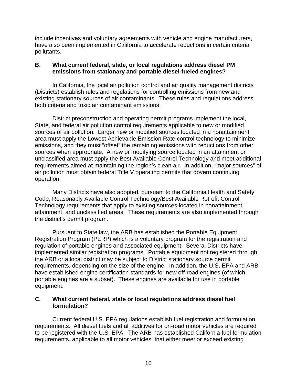include incentives and voluntary agreements with vehicle and engine manufacturers, have also been implemented in California to accelerate reductions in certain criteria pollutants.

## **B. What current federal, state, or local regulations address diesel PM emissions from stationary and portable diesel-fueled engines?**

In California, the local air pollution control and air quality management districts (Districts) establish rules and regulations for controlling emissions from new and existing stationary sources of air contaminants. These rules and regulations address both criteria and toxic air contaminant emissions.

District preconstruction and operating permit programs implement the local, State, and federal air pollution control requirements applicable to new or modified sources of air pollution. Larger new or modified sources located in a nonattainment area must apply the Lowest Achievable Emission Rate control technology to minimize emissions, and they must "offset" the remaining emissions with reductions from other sources when appropriate. A new or modifying source located in an attainment or unclassified area must apply the Best Available Control Technology and meet additional requirements aimed at maintaining the region's clean air. In addition, "major sources" of air pollution must obtain federal Title V operating permits that govern continuing operation.

Many Districts have also adopted, pursuant to the California Health and Safety Code, Reasonably Available Control Technology/Best Available Retrofit Control Technology requirements that apply to existing sources located in nonattainment, attainment, and unclassified areas. These requirements are also implemented through the district's permit program.

Pursuant to State law, the ARB has established the Portable Equipment Registration Program (PERP) which is a voluntary program for the registration and regulation of portable engines and associated equipment. Several Districts have implemented similar registration programs. Portable equipment not registered through the ARB or a local district may be subject to District stationary source permit requirements, depending on the size of the engine. In addition, the U.S. EPA and ARB have established engine certification standards for new off-road engines (of which portable engines are a subset). These engines are available for use in portable equipment.

## **C. What current federal, state or local regulations address diesel fuel formulation?**

Current federal U.S. EPA regulations establish fuel registration and formulation requirements. All diesel fuels and all additives for on-road motor vehicles are required to be registered with the U.S. EPA. The ARB has established California fuel formulation requirements, applicable to all motor vehicles, that either meet or exceed existing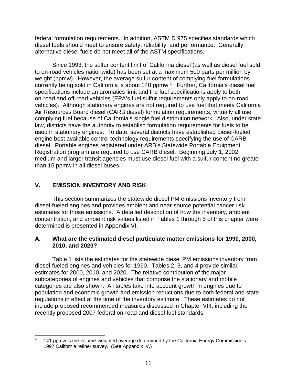federal formulation requirements. In addition, ASTM D 975 specifies standards which diesel fuels should meet to ensure safety, reliability, and performance. Generally, alternative diesel fuels do not meet all of the ASTM specifications.

Since 1993, the sulfur content limit of California diesel (as well as diesel fuel sold to on-road vehicles nationwide) has been set at a maximum 500 parts per million by weight (ppmw). However, the average sulfur content of complying fuel formulations currently being sold in California is about 140 ppmw.<sup>1</sup> Further, California's diesel fuel specifications include an aromatics limit and the fuel specifications apply to both on-road and off-road vehicles (EPA's fuel sulfur requirements only apply to on-road vehicles). Although stationary engines are not required to use fuel that meets California Air Resources Board diesel (CARB diesel) formulation requirements, virtually all use complying fuel because of California's single fuel distribution network. Also, under state law, districts have the authority to establish formulation requirements for fuels to be used in stationary engines. To date, several districts have established diesel-fueled engine best available control technology requirements specifying the use of CARB diesel. Portable engines registered under ARB's Statewide Portable Equipment Registration program are required to use CARB diesel. Beginning July 1, 2002, medium and larger transit agencies must use diesel fuel with a sulfur content no greater than 15 ppmw in all diesel buses.

## **V. EMISSION INVENTORY AND RISK**

This section summarizes the statewide diesel PM emissions inventory from diesel-fueled engines and provides ambient and near-source potential cancer risk estimates for those emissions. A detailed description of how the inventory, ambient concentration, and ambient risk values listed in Tables 1 through 5 of this chapter were determined is presented in Appendix VI.

## **A. What are the estimated diesel particulate matter emissions for 1990, 2000, 2010, and 2020?**

Table 1 lists the estimates for the statewide diesel PM emissions inventory from diesel-fueled engines and vehicles for 1990. Tables 2, 3, and 4 provide similar estimates for 2000, 2010, and 2020. The relative contribution of the major subcategories of engines and vehicles that comprise the stationary and mobile categories are also shown. All tables take into account growth in engines due to population and economic growth and emission reductions due to both federal and state regulations in effect at the time of the inventory estimate. These estimates do not include proposed recommended measures discussed in Chapter VIII, including the recently proposed 2007 federal on-road and diesel fuel standards.

 $\overline{\phantom{a}}$ 141 ppmw is the volume-weighted average determined by the California Energy Commission's 1997 California refiner survey. (See Appendix IV.) 1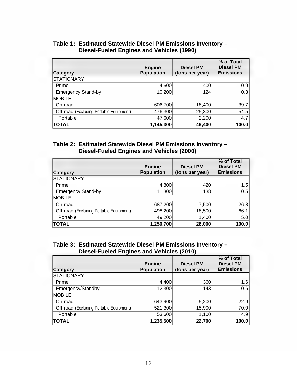| <b>Category</b>                                | <b>Engine</b><br><b>Population</b> | <b>Diesel PM</b><br>(tons per year) | % of Total<br><b>Diesel PM</b><br><b>Emissions</b> |
|------------------------------------------------|------------------------------------|-------------------------------------|----------------------------------------------------|
| <b>STATIONARY</b>                              |                                    |                                     |                                                    |
| Prime                                          | 4,600                              | 400                                 | 0.9                                                |
| <b>Emergency Stand-by</b>                      | 10,200                             | 124                                 | 0.3                                                |
| <b>IMOBILE</b>                                 |                                    |                                     |                                                    |
| On-road                                        | 606,700                            | 18,400                              | 39.7                                               |
| <b>Off-road</b> (Excluding Portable Equipment) | 476,300                            | 25,300                              | 54.5                                               |
| Portable                                       | 47,600                             | 2,200                               | 4.7                                                |
| <b>TOTAL</b>                                   | 1,145,300                          | 46,400                              | 100.0                                              |

#### **Table 1: Estimated Statewide Diesel PM Emissions Inventory – Diesel-Fueled Engines and Vehicles (1990)**

## **Table 2: Estimated Statewide Diesel PM Emissions Inventory – Diesel-Fueled Engines and Vehicles (2000)**

| <b>Category</b>                                | <b>Engine</b><br><b>Population</b> | <b>Diesel PM</b><br>(tons per year) | % of Total<br><b>Diesel PM</b><br><b>Emissions</b> |
|------------------------------------------------|------------------------------------|-------------------------------------|----------------------------------------------------|
| STATIONARY                                     |                                    |                                     |                                                    |
| Prime                                          | 4,800                              | 420                                 | 1.5                                                |
| <b>Emergency Stand-by</b>                      | 11,300                             | 138                                 | 0.5                                                |
| <b>MOBILE</b>                                  |                                    |                                     |                                                    |
| On-road                                        | 687,200                            | 7,500                               | 26.8                                               |
| <b>Off-road</b> (Excluding Portable Equipment) | 498,200                            | 18,500                              | 66.1                                               |
| Portable                                       | 49,200                             | 1,400                               | 5.0                                                |
| <b>TOTAL</b>                                   | 1,250,700                          | 28,000                              | 100.0                                              |

## **Table 3: Estimated Statewide Diesel PM Emissions Inventory – Diesel-Fueled Engines and Vehicles (2010)**

| <b>Category</b>                                | <b>Engine</b><br><b>Population</b> | <b>Diesel PM</b><br>(tons per year) | % of Total<br><b>Diesel PM</b><br><b>Emissions</b> |
|------------------------------------------------|------------------------------------|-------------------------------------|----------------------------------------------------|
| STATIONARY                                     |                                    |                                     |                                                    |
| Prime                                          | 4,400                              | 360                                 | 1.6                                                |
| Emergency/Standby                              | 12,300                             | 143                                 | 0.6                                                |
| <b>IMOBILE</b>                                 |                                    |                                     |                                                    |
| On-road                                        | 643,900                            | 5,200                               | 22.9                                               |
| <b>Off-road</b> (Excluding Portable Equipment) | 521,300                            | 15,900                              | 70.0                                               |
| Portable                                       | 53,600                             | 1,100                               | 4.9                                                |
| <b>TOTAL</b>                                   | 1,235,500                          | 22,700                              | 100.0                                              |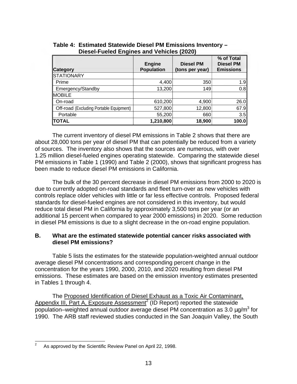| Category                                       | <b>Engine</b><br><b>Population</b> | <b>Diesel PM</b><br>(tons per year) | % of Total<br><b>Diesel PM</b><br><b>Emissions</b> |
|------------------------------------------------|------------------------------------|-------------------------------------|----------------------------------------------------|
| <b>STATIONARY</b>                              |                                    |                                     |                                                    |
| Prime                                          | 4,400                              | 350                                 | 1.9                                                |
| Emergency/Standby                              | 13,200                             | 149                                 | 0.8                                                |
| <b>MOBILE</b>                                  |                                    |                                     |                                                    |
| On-road                                        | 610,200                            | 4,900                               | 26.0                                               |
| <b>Off-road</b> (Excluding Portable Equipment) | 527,800                            | 12,800                              | 67.9                                               |
| Portable                                       | 55,200                             | 660                                 | 3.5                                                |
| <b>TOTAL</b>                                   | 1,210,800                          | 18,900                              | 100.0                                              |

**Table 4: Estimated Statewide Diesel PM Emissions Inventory – Diesel-Fueled Engines and Vehicles (2020)** 

The current inventory of diesel PM emissions in Table 2 shows that there are about 28,000 tons per year of diesel PM that can potentially be reduced from a variety of sources. The inventory also shows that the sources are numerous, with over 1.25 million diesel-fueled engines operating statewide. Comparing the statewide diesel PM emissions in Table 1 (1990) and Table 2 (2000), shows that significant progress has been made to reduce diesel PM emissions in California.

The bulk of the 30 percent decrease in diesel PM emissions from 2000 to 2020 is due to currently adopted on-road standards and fleet turn-over as new vehicles with controls replace older vehicles with little or far less effective controls. Proposed federal standards for diesel-fueled engines are not considered in this inventory, but would reduce total diesel PM in California by approximately 3,500 tons per year (or an additional 15 percent when compared to year 2000 emissions) in 2020. Some reduction in diesel PM emissions is due to a slight decrease in the on-road engine population.

## **B. What are the estimated statewide potential cancer risks associated with diesel PM emissions?**

Table 5 lists the estimates for the statewide population-weighted annual outdoor average diesel PM concentrations and corresponding percent change in the concentration for the years 1990, 2000, 2010, and 2020 resulting from diesel PM emissions. These estimates are based on the emission inventory estimates presented in Tables 1 through 4.

The Proposed Identification of Diesel Exhaust as a Toxic Air Contaminant, Appendix III, Part A, Exposure Assessment<sup>2</sup> (ID Report) reported the statewide population–weighted annual outdoor average diesel PM concentration as 3.0  $\mu$ g/m<sup>3</sup> for 1990. The ARB staff reviewed studies conducted in the San Joaquin Valley, the South

 $\frac{1}{2}$ As approved by the Scientific Review Panel on April 22, 1998.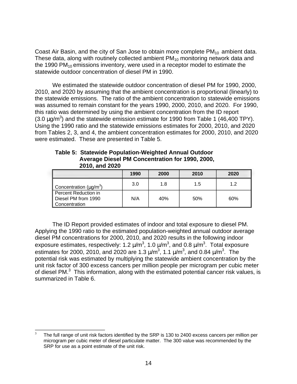Coast Air Basin, and the city of San Jose to obtain more complete  $PM_{10}$  ambient data. These data, along with routinely collected ambient  $PM_{10}$  monitoring network data and the 1990 PM $_{10}$  emissions inventory, were used in a receptor model to estimate the statewide outdoor concentration of diesel PM in 1990.

We estimated the statewide outdoor concentration of diesel PM for 1990, 2000, 2010, and 2020 by assuming that the ambient concentration is proportional (linearly) to the statewide emissions. The ratio of the ambient concentration to statewide emissions was assumed to remain constant for the years 1990, 2000, 2010, and 2020. For 1990, this ratio was determined by using the ambient concentration from the ID report  $(3.0 \,\mu g/m^3)$  and the statewide emission estimate for 1990 from Table 1 (46,400 TPY). Using the 1990 ratio and the statewide emissions estimates for 2000, 2010, and 2020 from Tables 2, 3, and 4, the ambient concentration estimates for 2000, 2010, and 2020 were estimated. These are presented in Table 5.

|                                                              | 1990 | 2000 | 2010 | 2020 |
|--------------------------------------------------------------|------|------|------|------|
| Concentration ( $\mu$ g/m <sup>3</sup> )                     | 3.0  | 1.8  | 1.5  | 1.2  |
| Percent Reduction in<br>Diesel PM from 1990<br>Concentration | N/A  | 40%  | 50%  | 60%  |

#### **Table 5: Statewide Population-Weighted Annual Outdoor Average Diesel PM Concentration for 1990, 2000, 2010, and 2020**

The ID Report provided estimates of indoor and total exposure to diesel PM. Applying the 1990 ratio to the estimated population-weighted annual outdoor average diesel PM concentrations for 2000, 2010, and 2020 results in the following indoor exposure estimates, respectively: 1.2  $\mu$ /m<sup>3</sup>, 1.0  $\mu$ /m<sup>3</sup>, and 0.8  $\mu$ /m<sup>3</sup>. Total exposure estimates for 2000, 2010, and 2020 are 1.3  $\mu$ /m<sup>3</sup>, 1.1  $\mu$ /m<sup>3</sup>, and 0.84  $\mu$ /m<sup>3</sup>. The potential risk was estimated by multiplying the statewide ambient concentration by the unit risk factor of 300 excess cancers per million people per microgram per cubic meter of diesel PM. $<sup>3</sup>$  This information, along with the estimated potential cancer risk values, is</sup> summarized in Table 6.

 $\overline{a}$ The full range of unit risk factors identified by the SRP is 130 to 2400 excess cancers per million per microgram per cubic meter of diesel particulate matter. The 300 value was recommended by the SRP for use as a point estimate of the unit risk. 3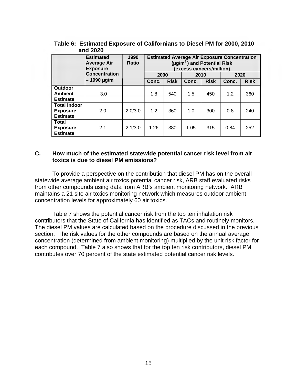|                                                           | <b>Estimated</b><br><b>Average Air</b><br><b>Exposure</b> | 1990<br><b>Ratio</b> | <b>Estimated Average Air Exposure Concentration</b><br>$(\mu g/m^3)$ and Potential Risk<br>(excess cancers/million) |             |       |             |       |             |
|-----------------------------------------------------------|-----------------------------------------------------------|----------------------|---------------------------------------------------------------------------------------------------------------------|-------------|-------|-------------|-------|-------------|
|                                                           | <b>Concentration</b>                                      |                      | 2000                                                                                                                |             | 2010  |             | 2020  |             |
|                                                           | $-1990 \,\mathrm{\mu g/m}^3$                              |                      | Conc.                                                                                                               | <b>Risk</b> | Conc. | <b>Risk</b> | Conc. | <b>Risk</b> |
| Outdoor<br><b>Ambient</b><br><b>Estimate</b>              | 3.0                                                       |                      | 1.8                                                                                                                 | 540         | 1.5   | 450         | 1.2   | 360         |
| <b>Total Indoor</b><br><b>Exposure</b><br><b>Estimate</b> | 2.0                                                       | 2.0/3.0              | 1.2                                                                                                                 | 360         | 1.0   | 300         | 0.8   | 240         |
| <b>Total</b><br><b>Exposure</b><br><b>Estimate</b>        | 2.1                                                       | 2.1/3.0              | 1.26                                                                                                                | 380         | 1.05  | 315         | 0.84  | 252         |

**Table 6: Estimated Exposure of Californians to Diesel PM for 2000, 2010 and 2020** 

#### **C. How much of the estimated statewide potential cancer risk level from air toxics is due to diesel PM emissions?**

To provide a perspective on the contribution that diesel PM has on the overall statewide average ambient air toxics potential cancer risk, ARB staff evaluated risks from other compounds using data from ARB's ambient monitoring network. ARB maintains a 21 site air toxics monitoring network which measures outdoor ambient concentration levels for approximately 60 air toxics.

Table 7 shows the potential cancer risk from the top ten inhalation risk contributors that the State of California has identified as TACs and routinely monitors. The diesel PM values are calculated based on the procedure discussed in the previous section. The risk values for the other compounds are based on the annual average concentration (determined from ambient monitoring) multiplied by the unit risk factor for each compound. Table 7 also shows that for the top ten risk contributors, diesel PM contributes over 70 percent of the state estimated potential cancer risk levels.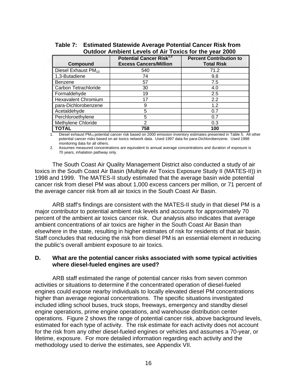| Compound                        | Potential Cancer Risk <sup>1,2</sup><br><b>Excess Cancers/Million</b> | <b>Percent Contribution to</b><br><b>Total Risk</b> |
|---------------------------------|-----------------------------------------------------------------------|-----------------------------------------------------|
| Diesel Exhaust PM <sub>10</sub> | 540                                                                   | 71.2                                                |
| 1,3-Butadiene                   | 74                                                                    | 9.8                                                 |
| Benzene                         | 57                                                                    | 7.5                                                 |
| Carbon Tetrachloride            | 30                                                                    | 4.0                                                 |
| Formaldehyde                    | 19                                                                    | 2.5                                                 |
| <b>Hexavalent Chromium</b>      | 17                                                                    | 2.2                                                 |
| para-Dichlorobenzene            | 9                                                                     | 1.2                                                 |
| Acetaldehyde                    | 5                                                                     | 0.7                                                 |
| Perchloroethylene               | 5                                                                     | 0.7                                                 |
| Methylene Chloride              | 2                                                                     | 0.3                                                 |
| TOTAL                           | 758                                                                   | 100                                                 |

## **Table 7: Estimated Statewide Average Potential Cancer Risk from Outdoor Ambient Levels of Air Toxics for the year 2000**

Diesel exhaust PM<sub>10</sub> potential cancer risk based on 2000 emission inventory estimates presented in Table 5. All other potential cancer risks based on air toxics network data. Used 1997 data for para-Dichlorobenzene. Used 1998 monitoring data for all others.

2. Assumes measured concentrations are equivalent to annual average concentrations and duration of exposure is 70 years, inhalation pathway only.

The South Coast Air Quality Management District also conducted a study of air toxics in the South Coast Air Basin (Multiple Air Toxics Exposure Study II (MATES-II)) in 1998 and 1999. The MATES-II study estimated that the average basin wide potential cancer risk from diesel PM was about 1,000 excess cancers per million, or 71 percent of the average cancer risk from all air toxics in the South Coast Air Basin.

ARB staff's findings are consistent with the MATES-II study in that diesel PM is a major contributor to potential ambient risk levels and accounts for approximately 70 percent of the ambient air toxics cancer risk. Our analysis also indicates that average ambient concentrations of air toxics are higher in the South Coast Air Basin than elsewhere in the state, resulting in higher estimates of risk for residents of that air basin. Staff concludes that reducing the risk from diesel PM is an essential element in reducing the public's overall ambient exposure to air toxics.

## **D. What are the potential cancer risks associated with some typical activities where diesel-fueled engines are used?**

ARB staff estimated the range of potential cancer risks from seven common activities or situations to determine if the concentrated operation of diesel-fueled engines could expose nearby individuals to locally elevated diesel PM concentrations higher than average regional concentrations. The specific situations investigated included idling school buses, truck stops, freeways, emergency and standby diesel engine operations, prime engine operations, and warehouse distribution center operations. Figure 2 shows the range of potential cancer risk, above background levels, estimated for each type of activity. The risk estimate for each activity does not account for the risk from any other diesel-fueled engines or vehicles and assumes a 70-year, or lifetime, exposure. For more detailed information regarding each activity and the methodology used to derive the estimates, see Appendix VII.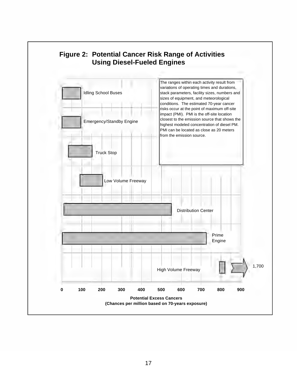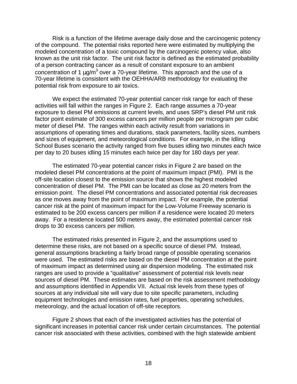Risk is a function of the lifetime average daily dose and the carcinogenic potency of the compound. The potential risks reported here were estimated by multiplying the modeled concentration of a toxic compound by the carcinogenic potency value, also known as the unit risk factor. The unit risk factor is defined as the estimated probability of a person contracting cancer as a result of constant exposure to an ambient concentration of 1  $\mu$ g/m<sup>3</sup> over a 70-year lifetime. This approach and the use of a 70-year lifetime is consistent with the OEHHA/ARB methodology for evaluating the potential risk from exposure to air toxics.

We expect the estimated 70-year potential cancer risk range for each of these activities will fall within the ranges in Figure 2. Each range assumes a 70-year exposure to diesel PM emissions at current levels, and uses SRP's diesel PM unit risk factor point estimate of 300 excess cancers per million people per microgram per cubic meter of diesel PM. The ranges within each activity result from variations in assumptions of operating times and durations, stack parameters, facility sizes, numbers and sizes of equipment, and meteorological conditions. For example, in the Idling School Buses scenario the activity ranged from five buses idling two minutes each twice per day to 20 buses idling 15 minutes each twice per day for 180 days per year.

The estimated 70-year potential cancer risks in Figure 2 are based on the modeled diesel PM concentrations at the point of maximum impact (PMI). PMI is the off-site location closest to the emission source that shows the highest modeled concentration of diesel PM. The PMI can be located as close as 20 meters from the emission point. The diesel PM concentrations and associated potential risk decreases as one moves away from the point of maximum impact. For example, the potential cancer risk at the point of maximum impact for the Low-Volume Freeway scenario is estimated to be 200 excess cancers per million if a residence were located 20 meters away. For a residence located 500 meters away, the estimated potential cancer risk drops to 30 excess cancers per million.

The estimated risks presented in Figure 2, and the assumptions used to determine these risks, are not based on a specific source of diesel PM. Instead, general assumptions bracketing a fairly broad range of possible operating scenarios were used. The estimated risks are based on the diesel PM concentration at the point of maximum impact as determined using air dispersion modeling. The estimated risk ranges are used to provide a "qualitative" assessment of potential risk levels near sources of diesel PM. These estimates are based on the risk assessment methodology and assumptions identified in Appendix VII. Actual risk levels from these types of sources at any individual site will vary due to site specific parameters, including equipment technologies and emission rates, fuel properties, operating schedules, meteorology, and the actual location of off-site receptors.

Figure 2 shows that each of the investigated activities has the potential of significant increases in potential cancer risk under certain circumstances. The potential cancer risk associated with these activities, combined with the high statewide ambient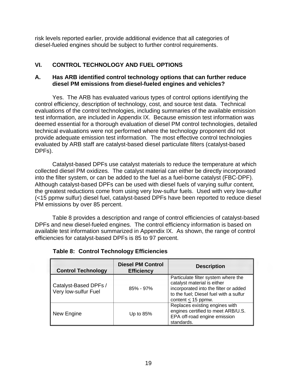risk levels reported earlier, provide additional evidence that all categories of diesel-fueled engines should be subject to further control requirements.

## **VI. CONTROL TECHNOLOGY AND FUEL OPTIONS**

## **A. Has ARB identified control technology options that can further reduce diesel PM emissions from diesel-fueled engines and vehicles?**

Yes. The ARB has evaluated various types of control options identifying the control efficiency, description of technology, cost, and source test data. Technical evaluations of the control technologies, including summaries of the available emission test information, are included in Appendix IX. Because emission test information was deemed essential for a thorough evaluation of diesel PM control technologies, detailed technical evaluations were not performed where the technology proponent did not provide adequate emission test information. The most effective control technologies evaluated by ARB staff are catalyst-based diesel particulate filters (catalyst-based DPFs).

Catalyst-based DPFs use catalyst materials to reduce the temperature at which collected diesel PM oxidizes. The catalyst material can either be directly incorporated into the filter system, or can be added to the fuel as a fuel-borne catalyst (FBC-DPF). Although catalyst-based DPFs can be used with diesel fuels of varying sulfur content, the greatest reductions come from using very low-sulfur fuels. Used with very low-sulfur (<15 ppmw sulfur) diesel fuel, catalyst-based DPFs have been reported to reduce diesel PM emissions by over 85 percent.

Table 8 provides a description and range of control efficiencies of catalyst-based DPFs and new diesel-fueled engines. The control efficiency information is based on available test information summarized in Appendix IX. As shown, the range of control efficiencies for catalyst-based DPFs is 85 to 97 percent.

| <b>Control Technology</b>                     | <b>Diesel PM Control</b><br><b>Efficiency</b> | <b>Description</b>                                                                                                                                                               |
|-----------------------------------------------|-----------------------------------------------|----------------------------------------------------------------------------------------------------------------------------------------------------------------------------------|
| Catalyst-Based DPFs /<br>Very low-sulfur Fuel | $85\% - 97\%$                                 | Particulate filter system where the<br>catalyst material is either<br>incorporated into the filter or added<br>to the fuel; Diesel fuel with a sulfur<br>content $\leq$ 15 ppmw. |
| New Engine                                    | Up to $85%$                                   | Replaces existing engines with<br>engines certified to meet ARB/U.S.<br>EPA off-road engine emission<br>standards.                                                               |

**Table 8: Control Technology Efficiencies**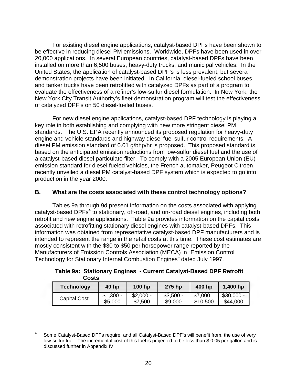For existing diesel engine applications, catalyst-based DPFs have been shown to be effective in reducing diesel PM emissions. Worldwide, DPFs have been used in over 20,000 applications. In several European countries, catalyst-based DPFs have been installed on more than 6,500 buses, heavy-duty trucks, and municipal vehicles. In the United States, the application of catalyst-based DPF's is less prevalent, but several demonstration projects have been initiated. In California, diesel-fueled school buses and tanker trucks have been retrofitted with catalyzed DPFs as part of a program to evaluate the effectiveness of a refiner's low-sulfur diesel formulation. In New York, the New York City Transit Authority's fleet demonstration program will test the effectiveness of catalyzed DPF's on 50 diesel-fueled buses.

For new diesel engine applications, catalyst-based DPF technology is playing a key role in both establishing and complying with new more stringent diesel PM standards. The U.S. EPA recently announced its proposed regulation for heavy-duty engine and vehicle standards and highway diesel fuel sulfur control requirements. A diesel PM emission standard of 0.01 g/bhp/hr is proposed. This proposed standard is based on the anticipated emission reductions from low-sulfur diesel fuel and the use of a catalyst-based diesel particulate filter. To comply with a 2005 European Union (EU) emission standard for diesel fueled vehicles, the French automaker, Peugeot Citroen, recently unveiled a diesel PM catalyst-based DPF system which is expected to go into production in the year 2000.

## **B. What are the costs associated with these control technology options?**

Tables 9a through 9d present information on the costs associated with applying catalyst-based DPFs<sup>4</sup> to stationary, off-road, and on-road diesel engines, including both retrofit and new engine applications. Table 9a provides information on the capital costs associated with retrofitting stationary diesel engines with catalyst-based DPFs. This information was obtained from representative catalyst-based DPF manufacturers and is intended to represent the range in the retail costs at this time. These cost estimates are mostly consistent with the \$30 to \$50 per horsepower range reported by the Manufacturers of Emission Controls Association (MECA) in "Emission Control Technology for Stationary Internal Combustion Engines" dated July 1997.

| uusis               |                       |                       |                       |                       |                         |
|---------------------|-----------------------|-----------------------|-----------------------|-----------------------|-------------------------|
| <b>Technology</b>   | 40 hp                 | $100$ hp              | 275 hp                | 400 hp                | 1,400 hp                |
| <b>Capital Cost</b> | $$1,300 -$<br>\$5,000 | $$2,000 -$<br>\$7,500 | $$3,500 -$<br>\$9,000 | $$7,000-$<br>\$10,500 | $$30,000 -$<br>\$44,000 |

| Table 9a: Stationary Engines - Current Catalyst-Based DPF Retrofit |  |  |
|--------------------------------------------------------------------|--|--|
| <b>Costs</b>                                                       |  |  |

 $\frac{1}{4}$ Some Catalyst-Based DPFs require, and all Catalyst-Based DPF's will benefit from, the use of very low-sulfur fuel. The incremental cost of this fuel is projected to be less than \$ 0.05 per gallon and is discussed further in Appendix IV.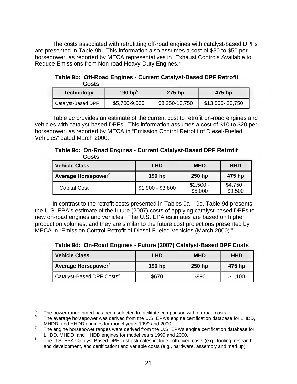The costs associated with retrofitting off-road engines with catalyst-based DPFs are presented in Table 9b. This information also assumes a cost of \$30 to \$50 per horsepower, as reported by MECA representatives in "Exhaust Controls Available to Reduce Emissions from Non-road Heavy-Duty Engines."

**Table 9b: Off-Road Engines - Current Catalyst-Based DPF Retrofit Costs** 

| <b>Technology</b>    | 190 hp <sup>3</sup> | 275 hp         | 475 hp          |
|----------------------|---------------------|----------------|-----------------|
| ∥ Catalyst-Based DPF | \$5,700-9,500       | \$8,250-13,750 | \$13,500-23,750 |

Table 9c provides an estimate of the current cost to retrofit on-road engines and vehicles with catalyst-based DPFs. This information assumes a cost of \$10 to \$20 per horsepower, as reported by MECA in "Emission Control Retrofit of Diesel-Fueled Vehicles" dated March 2000.

**Table 9c: On-Road Engines - Current Catalyst-Based DPF Retrofit Costs** 

| <b>Vehicle Class</b>            | LHD               | <b>MHD</b>            | <b>HHD</b>            |
|---------------------------------|-------------------|-----------------------|-----------------------|
| Average Horsepower <sup>6</sup> | 190 hp            | 250 hp                | 475 hp                |
| <b>Capital Cost</b>             | $$1,900 - $3,800$ | $$2,500 -$<br>\$5,000 | $$4,750 -$<br>\$9,500 |

In contrast to the retrofit costs presented in Tables 9a – 9c, Table 9d presents the U.S. EPA's estimate of the future (2007) costs of applying catalyst-based DPFs to new on-road engines and vehicles. The U.S. EPA estimates are based on higher production volumes, and they are similar to the future cost projections presented by MECA in "Emission Control Retrofit of Diesel-Fueled Vehicles (March 2000)."

**Table 9d: On-Road Engines - Future (2007) Catalyst-Based DPF Costs** 

| <b>Vehicle Class</b>                  | <b>LHD</b> | <b>MHD</b> | <b>HHD</b> |
|---------------------------------------|------------|------------|------------|
| Average Horsepower <sup>7</sup>       | 190 hp     | 250 hp     | 475 hp     |
| Catalyst-Based DPF Costs <sup>8</sup> | \$670      | \$890      | \$1,100    |

<sup>5</sup> 

The power range noted has been selected to facilitate comparison with on-road costs.<br>The average horsepower was derived from the U.S. EPA's engine certification database for LHDD,

MHDD, and HHDD engines for model years 1999 and 2000.<br>The engine horsepower ranges were derived from the U.S. EPA's engine certification database for<br>LHDD, MHDD, and HHDD engines for model years 1999 and 2000.

 $8$  The U.S. EPA Catalyst Based-DPF cost estimates include both fixed costs (e.g., tooling, research and development, and certification) and variable costs (e.g., hardware, assembly and markup).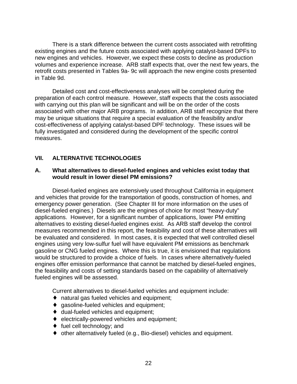There is a stark difference between the current costs associated with retrofitting existing engines and the future costs associated with applying catalyst-based DPFs to new engines and vehicles. However, we expect these costs to decline as production volumes and experience increase. ARB staff expects that, over the next few years, the retrofit costs presented in Tables 9a- 9c will approach the new engine costs presented in Table 9d.

Detailed cost and cost-effectiveness analyses will be completed during the preparation of each control measure. However, staff expects that the costs associated with carrying out this plan will be significant and will be on the order of the costs associated with other major ARB programs. In addition, ARB staff recognize that there may be unique situations that require a special evaluation of the feasibility and/or cost-effectiveness of applying catalyst-based DPF technology. These issues will be fully investigated and considered during the development of the specific control measures.

## **VII. ALTERNATIVE TECHNOLOGIES**

#### **A. What alternatives to diesel-fueled engines and vehicles exist today that would result in lower diesel PM emissions?**

Diesel-fueled engines are extensively used throughout California in equipment and vehicles that provide for the transportation of goods, construction of homes, and emergency power generation. (See Chapter III for more information on the uses of diesel-fueled engines.) Diesels are the engines of choice for most "heavy-duty" applications. However, for a significant number of applications, lower PM emitting alternatives to existing diesel-fueled engines exist. As ARB staff develop the control measures recommended in this report, the feasibility and cost of these alternatives will be evaluated and considered. In most cases, it is expected that well controlled diesel engines using very low-sulfur fuel will have equivalent PM emissions as benchmark gasoline or CNG fueled engines. Where this is true, it is envisioned that regulations would be structured to provide a choice of fuels. In cases where alternatively-fueled engines offer emission performance that cannot be matched by diesel-fueled engines, the feasibility and costs of setting standards based on the capability of alternatively fueled engines will be assessed.

Current alternatives to diesel-fueled vehicles and equipment include:

- $\bullet$  natural gas fueled vehicles and equipment;
- $\bullet$  gasoline-fueled vehicles and equipment;
- $\bullet$  dual-fueled vehicles and equipment;
- $\bullet$  electrically-powered vehicles and equipment;
- $\bullet$  fuel cell technology; and
- $\bullet$  other alternatively fueled (e.g., Bio-diesel) vehicles and equipment.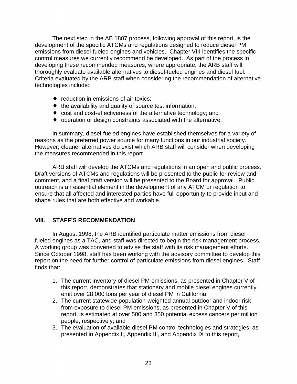The next step in the AB 1807 process, following approval of this report, is the development of the specific ATCMs and regulations designed to reduce diesel PM emissions from diesel-fueled engines and vehicles. Chapter VIII identifies the specific control measures we currently recommend be developed. As part of the process in developing these recommended measures, where appropriate, the ARB staff will thoroughly evaluate available alternatives to diesel-fueled engines and diesel fuel. Criteria evaluated by the ARB staff when considering the recommendation of alternative technologies include:

- $\bullet$  reduction in emissions of air toxics;
- $\bullet$  the availability and quality of source test information;
- $\bullet$  cost and cost-effectiveness of the alternative technology; and
- $\bullet$  operation or design constraints associated with the alternative.

In summary, diesel-fueled engines have established themselves for a variety of reasons as the preferred power source for many functions in our industrial society. However, cleaner alternatives do exist which ARB staff will consider when developing the measures recommended in this report.

ARB staff will develop the ATCMs and regulations in an open and public process. Draft versions of ATCMs and regulations will be presented to the public for review and comment, and a final draft version will be presented to the Board for approval. Public outreach is an essential element in the development of any ATCM or regulation to ensure that all affected and interested parties have full opportunity to provide input and shape rules that are both effective and workable.

## **VIII. STAFF'S RECOMMENDATION**

In August 1998, the ARB identified particulate matter emissions from diesel fueled engines as a TAC, and staff was directed to begin the risk management process. A working group was convened to advise the staff with its risk management efforts. Since October 1998, staff has been working with the advisory committee to develop this report on the need for further control of particulate emissions from diesel engines. Staff finds that:

- 1. The current inventory of diesel PM emissions, as presented in Chapter V of this report, demonstrates that stationary and mobile diesel engines currently emit over 28,000 tons per year of diesel PM in California;
- 2. The current statewide population-weighted annual outdoor and indoor risk from exposure to diesel PM emissions, as presented in Chapter V of this report, is estimated at over 500 and 350 potential excess cancers per million people, respectively; and
- 3. The evaluation of available diesel PM control technologies and strategies, as presented in Appendix II, Appendix III, and Appendix IX to this report,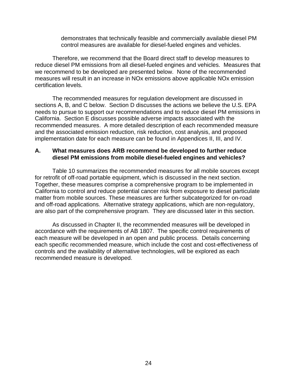demonstrates that technically feasible and commercially available diesel PM control measures are available for diesel-fueled engines and vehicles.

Therefore, we recommend that the Board direct staff to develop measures to reduce diesel PM emissions from all diesel-fueled engines and vehicles. Measures that we recommend to be developed are presented below. None of the recommended measures will result in an increase in NOx emissions above applicable NOx emission certification levels.

The recommended measures for regulation development are discussed in sections A, B, and C below. Section D discusses the actions we believe the U.S. EPA needs to pursue to support our recommendations and to reduce diesel PM emissions in California. Section E discusses possible adverse impacts associated with the recommended measures. A more detailed description of each recommended measure and the associated emission reduction, risk reduction, cost analysis, and proposed implementation date for each measure can be found in Appendices II, III, and IV.

## **A. What measures does ARB recommend be developed to further reduce diesel PM emissions from mobile diesel-fueled engines and vehicles?**

Table 10 summarizes the recommended measures for all mobile sources except for retrofit of off-road portable equipment, which is discussed in the next section. Together, these measures comprise a comprehensive program to be implemented in California to control and reduce potential cancer risk from exposure to diesel particulate matter from mobile sources. These measures are further subcategorized for on-road and off-road applications. Alternative strategy applications, which are non-regulatory, are also part of the comprehensive program. They are discussed later in this section.

As discussed in Chapter II, the recommended measures will be developed in accordance with the requirements of AB 1807. The specific control requirements of each measure will be developed in an open and public process. Details concerning each specific recommended measure, which include the cost and cost-effectiveness of controls and the availability of alternative technologies, will be explored as each recommended measure is developed.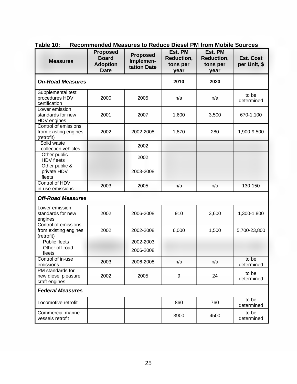| <b>Measures</b>                                             | <b>Proposed</b><br><b>Board</b><br><b>Adoption</b><br><b>Date</b> | <b>Proposed</b><br>Implemen-<br>tation Date | Est. PM<br>Reduction,<br>tons per<br>year | Est. PM<br>Reduction,<br>tons per<br>year | <b>Est. Cost</b><br>per Unit, \$ |
|-------------------------------------------------------------|-------------------------------------------------------------------|---------------------------------------------|-------------------------------------------|-------------------------------------------|----------------------------------|
| <b>On-Road Measures</b>                                     |                                                                   |                                             | 2010                                      | 2020                                      |                                  |
| Supplemental test<br>procedures HDV<br>certification        | 2000                                                              | 2005                                        | n/a                                       | n/a                                       | to be<br>determined              |
| Lower emission<br>standards for new<br>HDV engines          | 2001                                                              | 2007                                        | 1,600                                     | 3,500                                     | 670-1,100                        |
| Control of emissions<br>from existing engines<br>(retrofit) | 2002                                                              | 2002-2008                                   | 1,870                                     | 280                                       | 1,900-9,500                      |
| Solid waste<br>collection vehicles                          |                                                                   | 2002                                        |                                           |                                           |                                  |
| Other public<br><b>HDV</b> fleets                           |                                                                   | 2002                                        |                                           |                                           |                                  |
| Other public &<br>private HDV<br>fleets                     |                                                                   | 2003-2008                                   |                                           |                                           |                                  |
| Control of HDV<br>in-use emissions                          | 2003                                                              | 2005                                        | n/a                                       | n/a                                       | 130-150                          |
| <b>Off-Road Measures</b>                                    |                                                                   |                                             |                                           |                                           |                                  |
| Lower emission<br>standards for new<br>engines              | 2002                                                              | 2006-2008                                   | 910                                       | 3,600                                     | 1,300-1,800                      |
| Control of emissions<br>from existing engines<br>(retrofit) | 2002                                                              | 2002-2008                                   | 6,000                                     | 1,500                                     | 5,700-23,800                     |
| <b>Public fleets</b>                                        |                                                                   | 2002-2003                                   |                                           |                                           |                                  |
| Other off-road<br>fleets                                    |                                                                   | 2006-2008                                   |                                           |                                           |                                  |
| Control of in-use<br>emissions                              | 2003                                                              | 2006-2008                                   | n/a                                       | n/a                                       | to be<br>determined              |
| PM standards for<br>new diesel pleasure<br>craft engines    | 2002                                                              | 2005                                        | 9                                         | 24                                        | to be<br>determined              |
| <b>Federal Measures</b>                                     |                                                                   |                                             |                                           |                                           |                                  |
| Locomotive retrofit                                         |                                                                   |                                             | 860                                       | 760                                       | to be<br>determined              |
| Commercial marine<br>vessels retrofit                       |                                                                   |                                             | 3900                                      | 4500                                      | to be<br>determined              |

**Table 10: Recommended Measures to Reduce Diesel PM from Mobile Sources**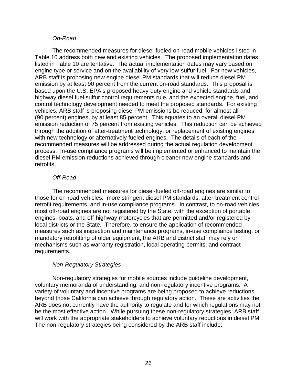#### *On-Road*

The recommended measures for diesel-fueled on-road mobile vehicles listed in Table 10 address both new and existing vehicles. The proposed implementation dates listed in Table 10 are tentative. The actual implementation dates may vary based on engine type or service and on the availability of very low-sulfur fuel. For new vehicles, ARB staff is proposing new engine diesel PM standards that will reduce diesel PM emission by at least 90 percent from the current on-road standards. This proposal is based upon the U.S. EPA's proposed heavy-duty engine and vehicle standards and highway diesel fuel sulfur control requirements rule, and the expected engine, fuel, and control technology development needed to meet the proposed standards. For existing vehicles, ARB staff is proposing diesel PM emissions be reduced, for almost all (90 percent) engines, by at least 85 percent. This equates to an overall diesel PM emission reduction of 75 percent from existing vehicles. This reduction can be achieved through the addition of after-treatment technology, or replacement of existing engines with new technology or alternatively fueled engines. The details of each of the recommended measures will be addressed during the actual regulation development process. In-use compliance programs will be implemented or enhanced to maintain the diesel PM emission reductions achieved through cleaner new engine standards and retrofits.

#### *Off-Road*

The recommended measures for diesel-fueled off-road engines are similar to those for on-road vehicles: more stringent diesel PM standards, after-treatment control retrofit requirements, and in-use compliance programs. In contrast, to on-road vehicles, most off-road engines are not registered by the State, with the exception of portable engines, boats, and off-highway motorcycles that are permitted and/or registered by local districts or the State. Therefore, to ensure the application of recommended measures such as inspection and maintenance programs, in-use compliance testing, or mandatory retrofitting of older equipment, the ARB and district staff may rely on mechanisms such as warranty registration, local operating permits, and contract requirements.

## *Non-Regulatory Strategies*

Non-regulatory strategies for mobile sources include guideline development, voluntary memoranda of understanding, and non-regulatory incentive programs. A variety of voluntary and incentive programs are being proposed to achieve reductions beyond those California can achieve through regulatory action. These are activities the ARB does not currently have the authority to regulate and for which regulations may not be the most effective action. While pursuing these non-regulatory strategies, ARB staff will work with the appropriate stakeholders to achieve voluntary reductions in diesel PM. The non-regulatory strategies being considered by the ARB staff include: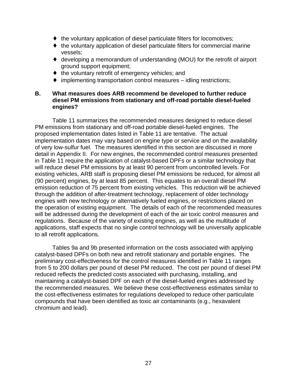- the voluntary application of diesel particulate filters for locomotives;
- $\bullet$  the voluntary application of diesel particulate filters for commercial marine vessels;
- $\bullet$  developing a memorandum of understanding (MOU) for the retrofit of airport ground support equipment;
- $\bullet$  the voluntary retrofit of emergency vehicles; and
- $\bullet$  implementing transportation control measures idling restrictions;

## **B. What measures does ARB recommend be developed to further reduce diesel PM emissions from stationary and off-road portable diesel-fueled engines?**

Table 11 summarizes the recommended measures designed to reduce diesel PM emissions from stationary and off-road portable diesel-fueled engines. The proposed implementation dates listed in Table 11 are tentative. The actual implementation dates may vary based on engine type or service and on the availability of very low-sulfur fuel. The measures identified in this section are discussed in more detail in Appendix II. For new engines, the recommended control measures presented in Table 11 require the application of catalyst-based DPFs or a similar technology that will reduce diesel PM emissions by at least 90 percent from uncontrolled levels. For existing vehicles, ARB staff is proposing diesel PM emissions be reduced, for almost all (90 percent) engines, by at least 85 percent. This equates to an overall diesel PM emission reduction of 75 percent from existing vehicles. This reduction will be achieved through the addition of after-treatment technology, replacement of older technology engines with new technology or alternatively fueled engines, or restrictions placed on the operation of existing equipment. The details of each of the recommended measures will be addressed during the development of each of the air toxic control measures and regulations. Because of the variety of existing engines, as well as the multitude of applications, staff expects that no single control technology will be universally applicable to all retrofit applications.

Tables 9a and 9b presented information on the costs associated with applying catalyst-based DPFs on both new and retrofit stationary and portable engines. The preliminary cost-effectiveness for the control measures identified in Table 11 ranges from 5 to 200 dollars per pound of diesel PM reduced. The cost per pound of diesel PM reduced reflects the predicted costs associated with purchasing, installing, and maintaining a catalyst-based DPF on each of the diesel-fueled engines addressed by the recommended measures. We believe these cost-effectiveness estimates similar to the cost-effectiveness estimates for regulations developed to reduce other particulate compounds that have been identified as toxic air contaminants (e.g., hexavalent chromium and lead).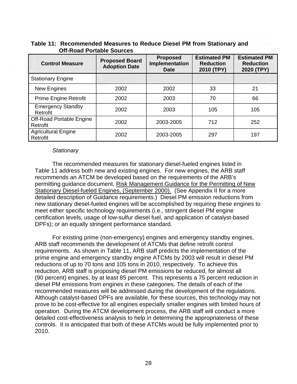| <b>Control Measure</b>                 | <b>Proposed Board</b><br><b>Adoption Date</b> | <b>Proposed</b><br>Implementation | <b>Estimated PM</b><br><b>Reduction</b> | <b>Estimated PM</b><br><b>Reduction</b> |
|----------------------------------------|-----------------------------------------------|-----------------------------------|-----------------------------------------|-----------------------------------------|
|                                        |                                               | <b>Date</b>                       | 2010 (TPY)                              | 2020 (TPY)                              |
| <b>Stationary Engine</b>               |                                               |                                   |                                         |                                         |
| New Engines                            | 2002                                          | 2002                              | 33                                      | 21                                      |
| <b>Prime Engine Retrofit</b>           | 2002                                          | 2003                              | 70                                      | 66                                      |
| <b>Emergency Standby</b><br>Retrofit   | 2002                                          | 2003                              | 105                                     | 105                                     |
| Off-Road Portable Engine<br>Retrofit   | 2002                                          | 2003-2005                         | 712                                     | 252                                     |
| <b>Agricultural Engine</b><br>Retrofit | 2002                                          | 2003-2005                         | 297                                     | 197                                     |

**Table 11: Recommended Measures to Reduce Diesel PM from Stationary and Off-Road Portable Sources** 

#### *Stationary*

The recommended measures for stationary diesel-fueled engines listed in Table 11 address both new and existing engines. For new engines, the ARB staff recommends an ATCM be developed based on the requirements of the ARB's permitting guidance document, Risk Management Guidance for the Permitting of New Stationary Diesel-fueled Engines, (September 2000). (See Appendix II for a more detailed description of Guidance requirements.) Diesel PM emission reductions from new stationary diesel-fueled engines will be accomplished by requiring these engines to meet either specific technology requirements (i.e., stringent diesel PM engine certification levels, usage of low-sulfur diesel fuel, and application of catalyst-based DPFs); or an equally stringent performance standard.

For existing prime (non-emergency) engines and emergency standby engines, ARB staff recommends the development of ATCMs that define retrofit control requirements. As shown in Table 11, ARB staff predicts the implementation of the prime engine and emergency standby engine ATCMs by 2003 will result in diesel PM reductions of up to 70 tons and 105 tons in 2010, respectively. To achieve this reduction, ARB staff is proposing diesel PM emissions be reduced, for almost all (90 percent) engines, by at least 85 percent. This represents a 75 percent reduction in diesel PM emissions from engines in these categories. The details of each of the recommended measures will be addressed during the development of the regulations. Although catalyst-based DPFs are available, for these sources, this technology may not prove to be cost-effective for all engines especially smaller engines with limited hours of operation. During the ATCM development process, the ARB staff will conduct a more detailed cost-effectiveness analysis to help in determining the appropriateness of these controls. It is anticipated that both of these ATCMs would be fully implemented prior to 2010.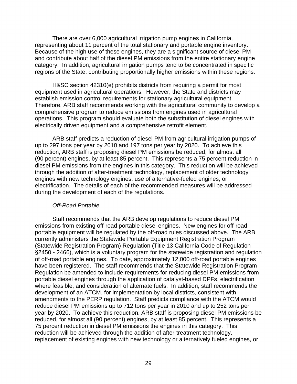There are over 6,000 agricultural irrigation pump engines in California, representing about 11 percent of the total stationary and portable engine inventory. Because of the high use of these engines, they are a significant source of diesel PM and contribute about half of the diesel PM emissions from the entire stationary engine category. In addition, agricultural irrigation pumps tend to be concentrated in specific regions of the State, contributing proportionally higher emissions within these regions.

H&SC section 42310(e) prohibits districts from requiring a permit for most equipment used in agricultural operations. However, the State and districts may establish emission control requirements for stationary agricultural equipment. Therefore, ARB staff recommends working with the agricultural community to develop a comprehensive program to reduce emissions from engines used in agricultural operations. This program should evaluate both the substitution of diesel engines with electrically driven equipment and a comprehensive retrofit element.

ARB staff predicts a reduction of diesel PM from agricultural irrigation pumps of up to 297 tons per year by 2010 and 197 tons per year by 2020. To achieve this reduction, ARB staff is proposing diesel PM emissions be reduced, for almost all (90 percent) engines, by at least 85 percent. This represents a 75 percent reduction in diesel PM emissions from the engines in this category. This reduction will be achieved through the addition of after-treatment technology, replacement of older technology engines with new technology engines, use of alternative-fueled engines, or electrification. The details of each of the recommended measures will be addressed during the development of each of the regulations.

#### *Off-Road Portable*

Staff recommends that the ARB develop regulations to reduce diesel PM emissions from existing off-road portable diesel engines. New engines for off-road portable equipment will be regulated by the off-road rules discussed above. The ARB currently administers the Statewide Portable Equipment Registration Program (Statewide Registration Program) Regulation (Title 13 California Code of Regulation §2450 - 2466), which is a voluntary program for the statewide registration and regulation of off-road portable engines. To date, approximately 12,000 off-road portable engines have been registered. The staff recommends that the Statewide Registration Program Regulation be amended to include requirements for reducing diesel PM emissions from portable diesel engines through the application of catalyst-based DPFs, electrification where feasible, and consideration of alternate fuels. In addition, staff recommends the development of an ATCM, for implementation by local districts, consistent with amendments to the PERP regulation. Staff predicts compliance with the ATCM would reduce diesel PM emissions up to 712 tons per year in 2010 and up to 252 tons per year by 2020. To achieve this reduction, ARB staff is proposing diesel PM emissions be reduced, for almost all (90 percent) engines, by at least 85 percent. This represents a 75 percent reduction in diesel PM emissions the engines in this category. This reduction will be achieved through the addition of after-treatment technology, replacement of existing engines with new technology or alternatively fueled engines, or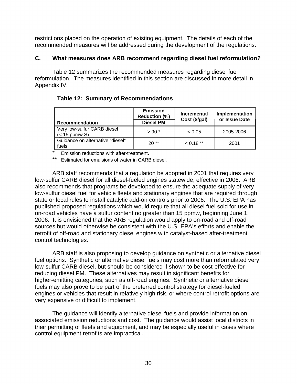restrictions placed on the operation of existing equipment. The details of each of the recommended measures will be addressed during the development of the regulations.

## **C. What measures does ARB recommend regarding diesel fuel reformulation?**

Table 12 summarizes the recommended measures regarding diesel fuel reformulation. The measures identified in this section are discussed in more detail in Appendix IV.

**Table 12: Summary of Recommendations** 

| <b>Recommendation</b>                          | <b>Emission</b><br><b>Reduction (%)</b><br><b>Diesel PM</b> | <b>Incremental</b><br>Cost (\$/gal) | <b>Implementation</b><br>or Issue Date |
|------------------------------------------------|-------------------------------------------------------------|-------------------------------------|----------------------------------------|
| Very low-sulfur CARB diesel<br>$(< 15$ ppmw S) | $> 90*$                                                     | < 0.05                              | 2005-2006                              |
| Guidance on alternative "diesel"<br>fuels      | $20**$                                                      | $0.18**$                            | 2001                                   |

Emission reductions with after-treatment.

\*\* Estimated for emulsions of water in CARB diesel.

ARB staff recommends that a regulation be adopted in 2001 that requires very low-sulfur CARB diesel for all diesel-fueled engines statewide, effective in 2006. ARB also recommends that programs be developed to ensure the adequate supply of very low-sulfur diesel fuel for vehicle fleets and stationary engines that are required through state or local rules to install catalytic add-on controls prior to 2006. The U.S. EPA has published proposed regulations which would require that all diesel fuel sold for use in on-road vehicles have a sulfur content no greater than 15 ppmw, beginning June 1, 2006. It is envisioned that the ARB regulation would apply to on-road and off-road sources but would otherwise be consistent with the U.S. EPA's efforts and enable the retrofit of off-road and stationary diesel engines with catalyst-based after-treatment control technologies.

ARB staff is also proposing to develop guidance on synthetic or alternative diesel fuel options. Synthetic or alternative diesel fuels may cost more than reformulated very low-sulfur CARB diesel, but should be considered if shown to be cost-effective for reducing diesel PM. These alternatives may result in significant benefits for higher-emitting categories, such as off-road engines. Synthetic or alternative diesel fuels may also prove to be part of the preferred control strategy for diesel-fueled engines or vehicles that result in relatively high risk, or where control retrofit options are very expensive or difficult to implement.

The guidance will identify alternative diesel fuels and provide information on associated emission reductions and cost. The guidance would assist local districts in their permitting of fleets and equipment, and may be especially useful in cases where control equipment retrofits are impractical.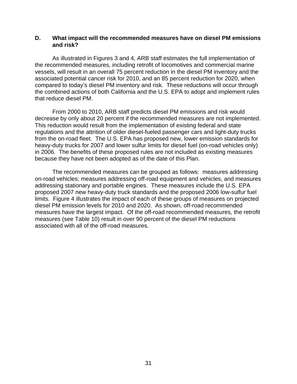## **D. What impact will the recommended measures have on diesel PM emissions and risk?**

As illustrated in Figures 3 and 4, ARB staff estimates the full implementation of the recommended measures, including retrofit of locomotives and commercial marine vessels, will result in an overall 75 percent reduction in the diesel PM inventory and the associated potential cancer risk for 2010, and an 85 percent reduction for 2020, when compared to today's diesel PM inventory and risk. These reductions will occur through the combined actions of both California and the U.S. EPA to adopt and implement rules that reduce diesel PM.

From 2000 to 2010, ARB staff predicts diesel PM emissions and risk would decrease by only about 20 percent if the recommended measures are not implemented. This reduction would result from the implementation of existing federal and state regulations and the attrition of older diesel-fueled passenger cars and light-duty trucks from the on-road fleet. The U.S. EPA has proposed new, lower emission standards for heavy-duty trucks for 2007 and lower sulfur limits for diesel fuel (on-road vehicles only) in 2006. The benefits of these proposed rules are not included as existing measures because they have not been adopted as of the date of this Plan.

The recommended measures can be grouped as follows: measures addressing on-road vehicles; measures addressing off-road equipment and vehicles, and measures addressing stationary and portable engines. These measures include the U.S. EPA proposed 2007 new heavy-duty truck standards and the proposed 2006 low-sulfur fuel limits. Figure 4 illustrates the impact of each of these groups of measures on projected diesel PM emission levels for 2010 and 2020. As shown, off-road recommended measures have the largest impact. Of the off-road recommended measures, the retrofit measures (see Table 10) result in over 90 percent of the diesel PM reductions associated with all of the off-road measures.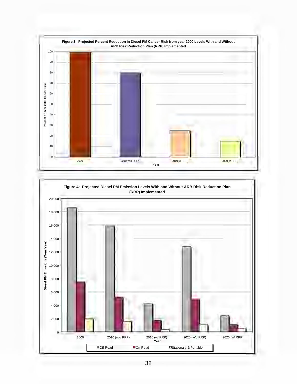

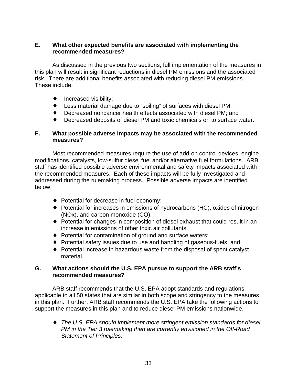## **E. What other expected benefits are associated with implementing the recommended measures?**

As discussed in the previous two sections, full implementation of the measures in this plan will result in significant reductions in diesel PM emissions and the associated risk. There are additional benefits associated with reducing diesel PM emissions. These include:

- $\bullet$  Increased visibility;
- Less material damage due to "soiling" of surfaces with diesel PM;
- $\bullet$  Decreased noncancer health effects associated with diesel PM; and
- ◆ Decreased deposits of diesel PM and toxic chemicals on to surface water.

## **F. What possible adverse impacts may be associated with the recommended measures?**

Most recommended measures require the use of add-on control devices, engine modifications, catalysts, low-sulfur diesel fuel and/or alternative fuel formulations. ARB staff has identified possible adverse environmental and safety impacts associated with the recommended measures. Each of these impacts will be fully investigated and addressed during the rulemaking process. Possible adverse impacts are identified below.

- $\rightarrow$  Potential for decrease in fuel economy;
- $\bullet$  Potential for increases in emissions of hydrocarbons (HC), oxides of nitrogen (NOx), and carbon monoxide (CO);
- ◆ Potential for changes in composition of diesel exhaust that could result in an increase in emissions of other toxic air pollutants.
- ◆ Potential for contamination of ground and surface waters;
- Potential safety issues due to use and handling of gaseous-fuels; and
- $\bullet$  Potential increase in hazardous waste from the disposal of spent catalyst material.

## **G. What actions should the U.S. EPA pursue to support the ARB staff's recommended measures?**

ARB staff recommends that the U.S. EPA adopt standards and regulations applicable to all 50 states that are similar in both scope and stringency to the measures in this plan. Further, ARB staff recommends the U.S. EPA take the following actions to support the measures in this plan and to reduce diesel PM emissions nationwide.

◆ The U.S. EPA should implement more stringent emission standards for diesel *PM in the Tier 3 rulemaking than are currently envisioned in the Off-Road Statement of Principles.*